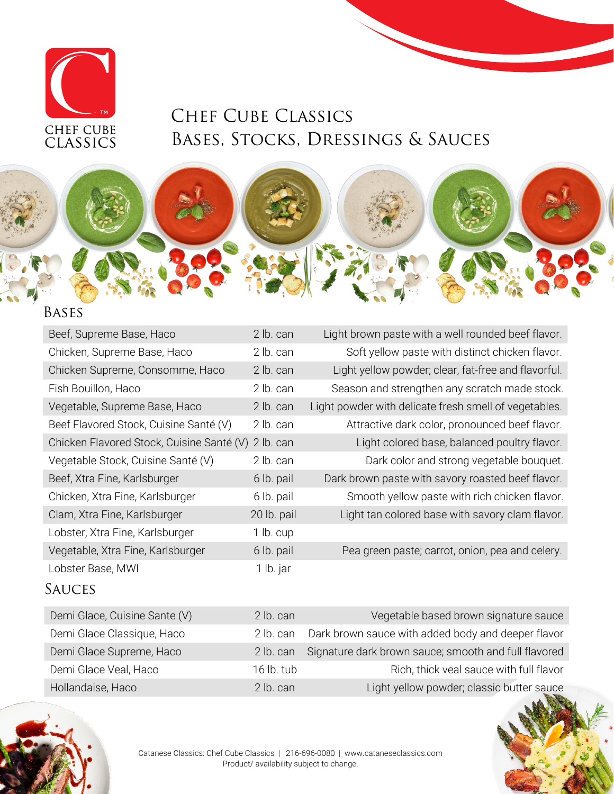

## Chef Cube Classics Bases, Stocks, Dressings & Sauces

### Bases

| Beef, Supreme Base, Haco                  | 2 lb. can   | Light brown paste with a well rounded beef flavor.    |
|-------------------------------------------|-------------|-------------------------------------------------------|
| Chicken, Supreme Base, Haco               | 2 lb. can   | Soft yellow paste with distinct chicken flavor.       |
| Chicken Supreme, Consomme, Haco           | 2 lb. can   | Light yellow powder; clear, fat-free and flavorful.   |
| Fish Bouillon, Haco                       | 2 lb. can   | Season and strengthen any scratch made stock.         |
| Vegetable, Supreme Base, Haco             | 2 lb. can   | Light powder with delicate fresh smell of vegetables. |
| Beef Flavored Stock, Cuisine Santé (V)    | 2 lb. can   | Attractive dark color, pronounced beef flavor.        |
| Chicken Flavored Stock, Cuisine Santé (V) | 2 lb. can   | Light colored base, balanced poultry flavor.          |
| Vegetable Stock, Cuisine Santé (V)        | 2 lb. can   | Dark color and strong vegetable bouquet.              |
| Beef, Xtra Fine, Karlsburger              | 6 lb. pail  | Dark brown paste with savory roasted beef flavor.     |
| Chicken, Xtra Fine, Karlsburger           | 6 lb. pail  | Smooth yellow paste with rich chicken flavor.         |
| Clam, Xtra Fine, Karlsburger              | 20 lb. pail | Light tan colored base with savory clam flavor.       |
| Lobster, Xtra Fine, Karlsburger           | 1 lb. cup   |                                                       |
| Vegetable, Xtra Fine, Karlsburger         | 6 lb. pail  | Pea green paste; carrot, onion, pea and celery.       |
| Lobster Base, MWI                         | 1 lb. jar   |                                                       |

### **SAUCES**

| Demi Glace, Cuisine Sante (V) | 2 lb. can    | Vegetable based brown signature sauce                |
|-------------------------------|--------------|------------------------------------------------------|
| Demi Glace Classique, Haco    | 2 lb. can    | Dark brown sauce with added body and deeper flavor   |
| Demi Glace Supreme, Haco      | 2 lb. can    | Signature dark brown sauce; smooth and full flavored |
| Demi Glace Veal, Haco         | $16$ lb. tub | Rich, thick veal sauce with full flavor              |
| Hollandaise, Haco             | $2$ lb. can  | Light yellow powder; classic butter sauce            |